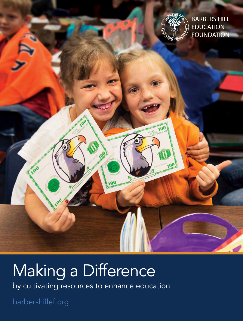

 $100$ 

BARBERS HILL EDUCATION **FOUNDATION** 

# Making a Difference

by cultivating resources to enhance education

100

barbershillef.org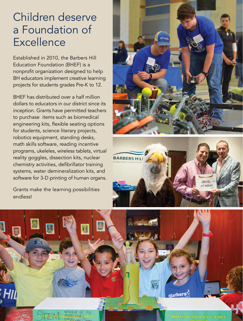### Children deserve a Foundation of **Excellence**

Established in 2010, the Barbers Hill Education Foundation (BHEF) is a nonprofit organization designed to help BH educators implement creative learning projects for students grades Pre-K to 12.

BHEF has distributed over a half million dollars to educators in our district since its inception. Grants have permitted teachers to purchase items such as biomedical engineering kits, flexible seating options for students, science literary projects, robotics equipment, standing desks, math skills software, reading incentive programs, ukeleles, wireless tablets, virtual reality goggles, dissection kits, nuclear chemistry activities, defibrillator training systems, water demineralization kits, and software for 3-D printing of human organs.

Grants make the learning possibilities endless!





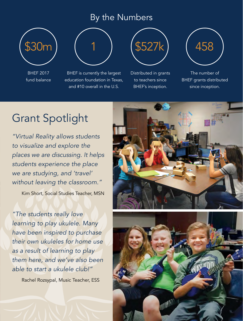#### By the Numbers



BHEF 2017 fund balance



BHEF is currently the largest education foundation in Texas, and #10 overall in the U.S.



Distributed in grants to teachers since BHEF's inception.



The number of BHEF grants distributed since inception.

### Grant Spotlight

*"Virtual Reality allows students to visualize and explore the places we are discussing. It helps students experience the place we are studying, and 'travel' without leaving the classroom."*

Kim Short, Social Studies Teacher, MSN

*"The students really love learning to play ukulele. Many have been inspired to purchase their own ukuleles for home use as a result of learning to play them here, and we've also been able to start a ukulele club!"* 

Rachel Rozsypal, Music Teacher, ESS



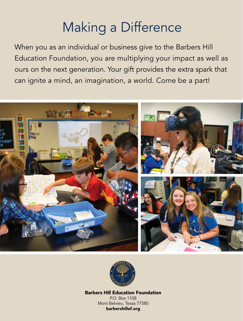## Making a Difference

When you as an individual or business give to the Barbers Hill Education Foundation, you are multiplying your impact as well as ours on the next generation. Your gift provides the extra spark that can ignite a mind, an imagination, a world. Come be a part!





Barbers Hill Education Foundation P.O. Box 1108 Mont Belvieu, Texas 77580 barbershillef.org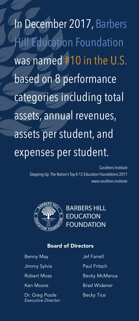In December 2017, Barbers Hill Education Foundation was named #10 in the U.S. based on 8 performance categories including total assets, annual revenues, assets per student, and expenses per student.

> Caruthers Institute Stepping Up: The Nation's Top K-12 Education Foundations 2017 www.caruthers.institute



**BARBERS HILL EDUCATION** FOUNDATION

#### Board of Directors

Benny May

Jimmy Sylvia

Robert Moss

Ken Moore

Dr. Greg Poole *Executive Director* Jef Farrell

Paul Fritsch

Becky McManus

Brad Widener

Becky Tice